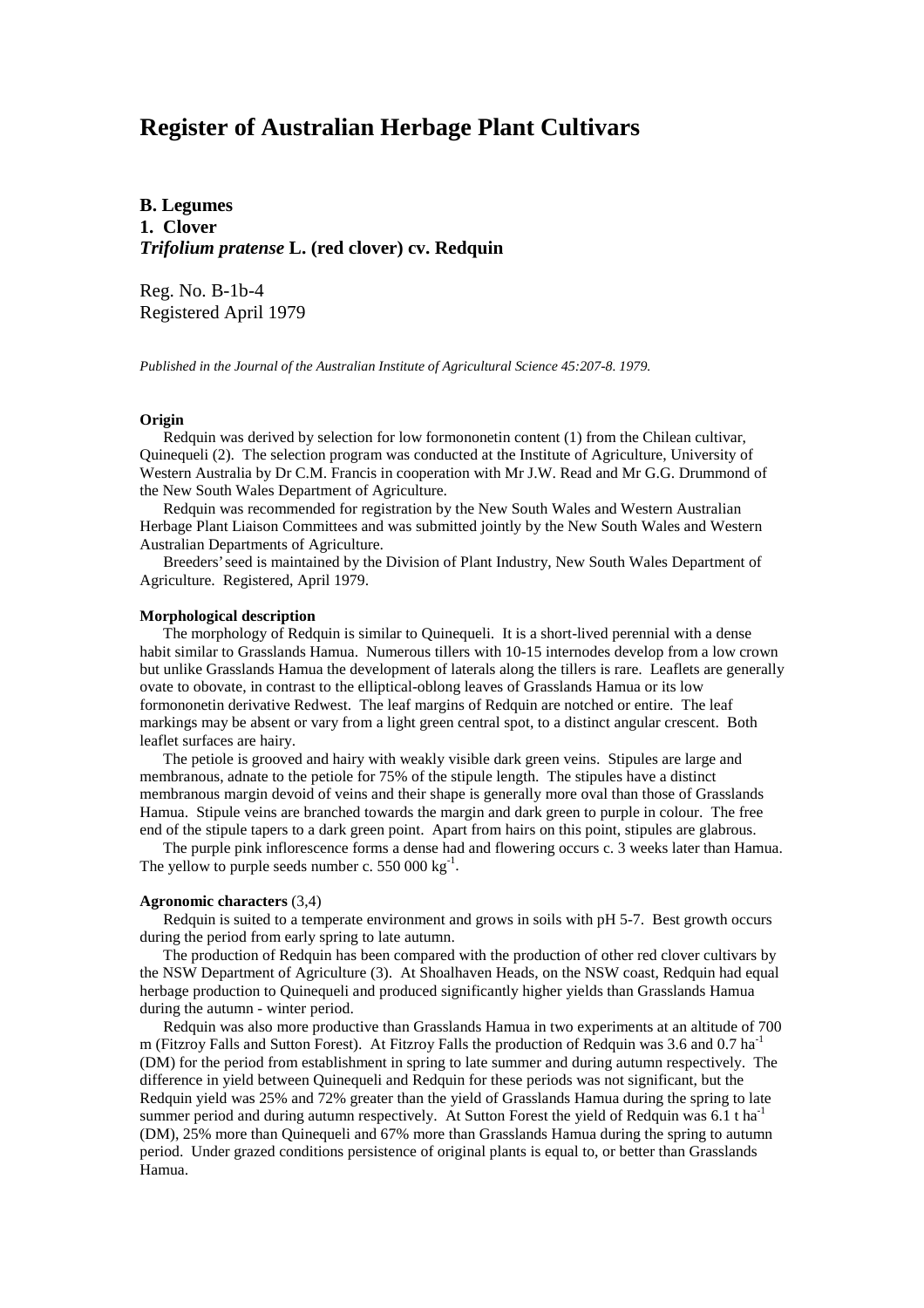# **Register of Australian Herbage Plant Cultivars**

**B. Legumes 1. Clover** *Trifolium pratense* **L. (red clover) cv. Redquin**

Reg. No. B-1b-4 Registered April 1979

*Published in the Journal of the Australian Institute of Agricultural Science 45:207-8. 1979.*

# **Origin**

 Redquin was derived by selection for low formononetin content (1) from the Chilean cultivar, Quinequeli (2). The selection program was conducted at the Institute of Agriculture, University of Western Australia by Dr C.M. Francis in cooperation with Mr J.W. Read and Mr G.G. Drummond of the New South Wales Department of Agriculture.

 Redquin was recommended for registration by the New South Wales and Western Australian Herbage Plant Liaison Committees and was submitted jointly by the New South Wales and Western Australian Departments of Agriculture.

 Breeders' seed is maintained by the Division of Plant Industry, New South Wales Department of Agriculture. Registered, April 1979.

#### **Morphological description**

 The morphology of Redquin is similar to Quinequeli. It is a short-lived perennial with a dense habit similar to Grasslands Hamua. Numerous tillers with 10-15 internodes develop from a low crown but unlike Grasslands Hamua the development of laterals along the tillers is rare. Leaflets are generally ovate to obovate, in contrast to the elliptical-oblong leaves of Grasslands Hamua or its low formononetin derivative Redwest. The leaf margins of Redquin are notched or entire. The leaf markings may be absent or vary from a light green central spot, to a distinct angular crescent. Both leaflet surfaces are hairy.

 The petiole is grooved and hairy with weakly visible dark green veins. Stipules are large and membranous, adnate to the petiole for 75% of the stipule length. The stipules have a distinct membranous margin devoid of veins and their shape is generally more oval than those of Grasslands Hamua. Stipule veins are branched towards the margin and dark green to purple in colour. The free end of the stipule tapers to a dark green point. Apart from hairs on this point, stipules are glabrous.

 The purple pink inflorescence forms a dense had and flowering occurs c. 3 weeks later than Hamua. The yellow to purple seeds number c. 550 000  $kg^{-1}$ .

# **Agronomic characters** (3,4)

 Redquin is suited to a temperate environment and grows in soils with pH 5-7. Best growth occurs during the period from early spring to late autumn.

 The production of Redquin has been compared with the production of other red clover cultivars by the NSW Department of Agriculture (3). At Shoalhaven Heads, on the NSW coast, Redquin had equal herbage production to Quinequeli and produced significantly higher yields than Grasslands Hamua during the autumn - winter period.

 Redquin was also more productive than Grasslands Hamua in two experiments at an altitude of 700 m (Fitzroy Falls and Sutton Forest). At Fitzroy Falls the production of Redquin was 3.6 and 0.7 ha-1 (DM) for the period from establishment in spring to late summer and during autumn respectively. The difference in yield between Quinequeli and Redquin for these periods was not significant, but the Redquin yield was 25% and 72% greater than the yield of Grasslands Hamua during the spring to late summer period and during autumn respectively. At Sutton Forest the yield of Redquin was  $6.1$  t ha<sup>-1</sup> (DM), 25% more than Quinequeli and 67% more than Grasslands Hamua during the spring to autumn period. Under grazed conditions persistence of original plants is equal to, or better than Grasslands Hamua.